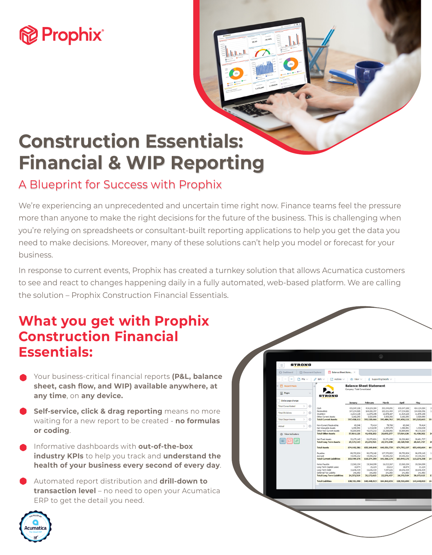# **Prophix**

# **Construction Essentials: Financial & WIP Reporting**

### A Blueprint for Success with Prophix

We're experiencing an unprecedented and uncertain time right now. Finance teams feel the pressure more than anyone to make the right decisions for the future of the business. This is challenging when you're relying on spreadsheets or consultant-built reporting applications to help you get the data you need to make decisions. Moreover, many of these solutions can't help you model or forecast for your business.

In response to current events, Prophix has created a turnkey solution that allows Acumatica customers to see and react to changes happening daily in a fully automated, web-based platform. We are calling the solution – Prophix Construction Financial Essentials.

### **What you get with Prophix Construction Financial Essentials:**

- Your business-critical financial reports **(P&L, balance sheet, cash flow, and WIP) available anywhere, at any time**, on **any device.**
- **Self-service, click & drag reporting** means no more waiting for a new report to be created - **no formulas or coding**.
- Informative dashboards with **out-of-the-box industry KPIs** to help you track and **understand the health of your business every second of every day**.
- Automated report distribution and **drill-down to transaction level** – no need to open your Acumatica ERP to get the detail you need.